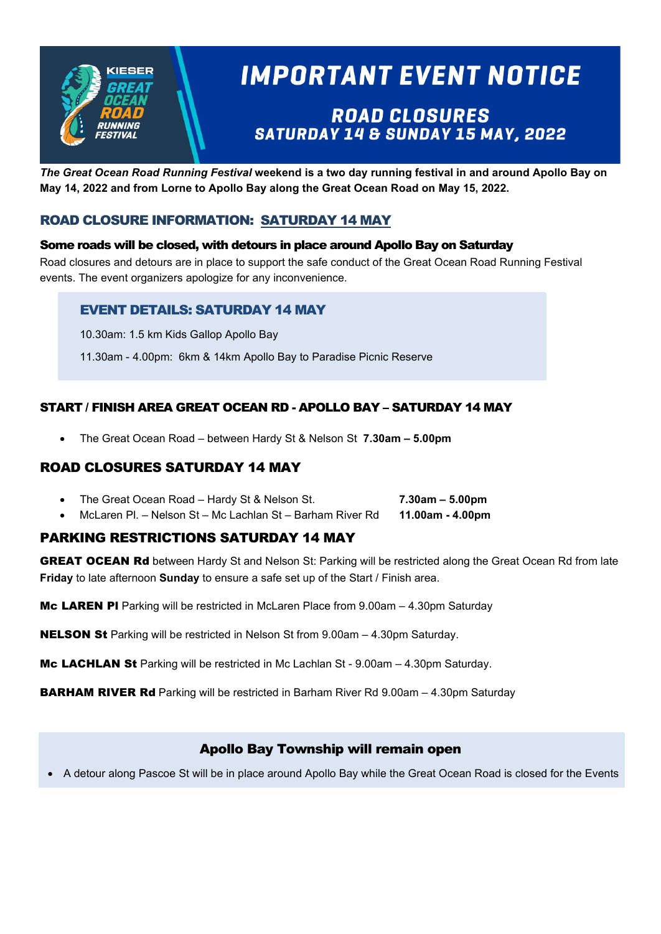

# **IMPORTANT EVENT NOTICE**

# **ROAD CLOSURES** SATURDAY 14 & SUNDAY 15 MAY, 2022

*The Great Ocean Road Running Festival* **weekend is a two day running festival in and around Apollo Bay on May 14, 2022 and from Lorne to Apollo Bay along the Great Ocean Road on May 15, 2022.** 

# ROAD CLOSURE INFORMATION: SATURDAY 14 MAY

#### Some roads will be closed, with detours in place around Apollo Bay on Saturday

Road closures and detours are in place to support the safe conduct of the Great Ocean Road Running Festival events. The event organizers apologize for any inconvenience.

#### EVENT DETAILS: SATURDAY 14 MAY

10.30am: 1.5 km Kids Gallop Apollo Bay

11.30am - 4.00pm: 6km & 14km Apollo Bay to Paradise Picnic Reserve

#### START / FINISH AREA GREAT OCEAN RD - APOLLO BAY – SATURDAY 14 MAY

• The Great Ocean Road – between Hardy St & Nelson St **7.30am – 5.00pm**

# ROAD CLOSURES SATURDAY 14 MAY

- The Great Ocean Road Hardy St & Nelson St. **7.30am 5.00pm**
- McLaren Pl. Nelson St Mc Lachlan St Barham River Rd **11.00am 4.00pm**

## PARKING RESTRICTIONS SATURDAY 14 MAY

**GREAT OCEAN Rd** between Hardy St and Nelson St: Parking will be restricted along the Great Ocean Rd from late **Friday** to late afternoon **Sunday** to ensure a safe set up of the Start / Finish area.

Mc LAREN PI Parking will be restricted in McLaren Place from 9.00am - 4.30pm Saturday

**NELSON St** Parking will be restricted in Nelson St from 9.00am - 4.30pm Saturday.

Mc LACHLAN St Parking will be restricted in Mc Lachlan St - 9.00am - 4.30pm Saturday.

**BARHAM RIVER Rd** Parking will be restricted in Barham River Rd 9.00am – 4.30pm Saturday

## Apollo Bay Township will remain open

• A detour along Pascoe St will be in place around Apollo Bay while the Great Ocean Road is closed for the Events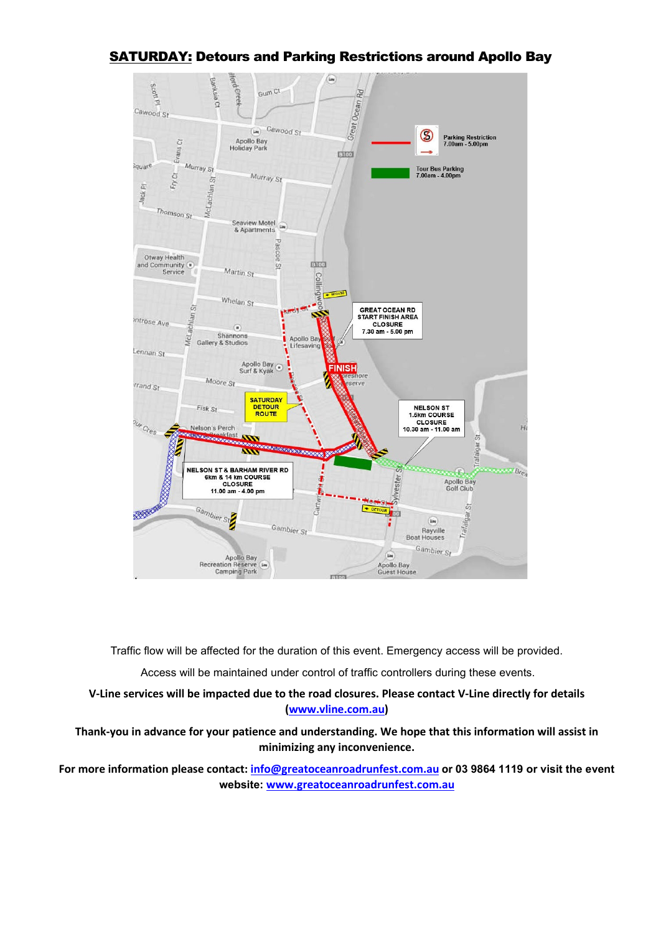# SATURDAY: Detours and Parking Restrictions around Apollo Bay



Traffic flow will be affected for the duration of this event. Emergency access will be provided.

Access will be maintained under control of traffic controllers during these events.

**V-Line services will be impacted due to the road closures. Please contact V-Line directly for details [\(www.vline.com.au\)](http://www.vline.com.au/)** 

**Thank-you in advance for your patience and understanding. We hope that this information will assist in minimizing any inconvenience.** 

**For more information please contact: [info@greatoceanroadrunfest.com.au](mailto:info@greatoceanroadrunfest.com.au) or 03 9864 1119 or visit the event website: [www.greatoceanroadrunfest.com.au](http://www.greatoceanroadrunfest.com.au/)**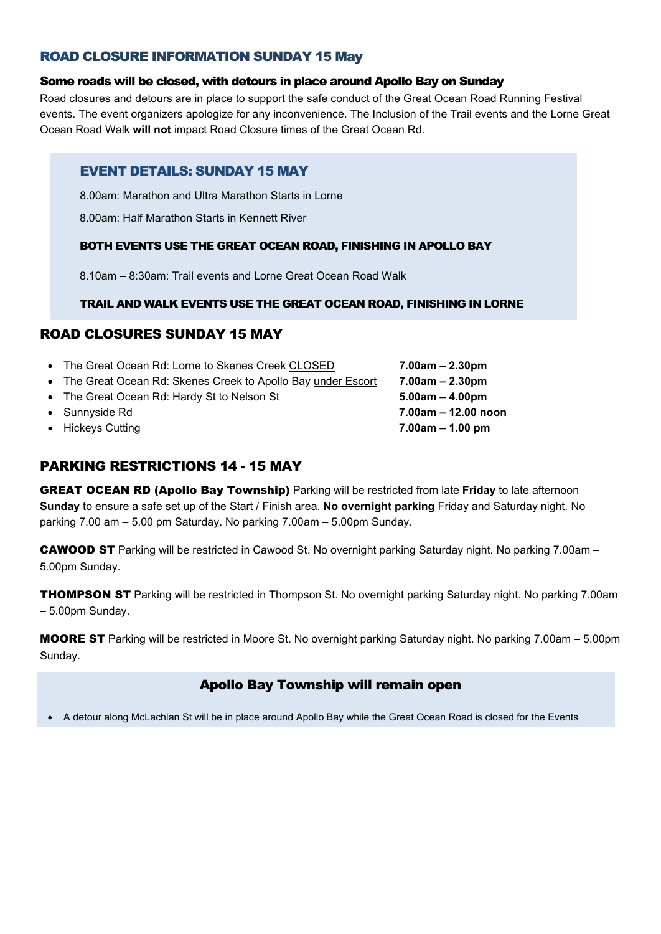#### ROAD CLOSURE INFORMATION SUNDAY 15 May

#### Some roads will be closed, with detours in place around Apollo Bay on Sunday

Road closures and detours are in place to support the safe conduct of the Great Ocean Road Running Festival events. The event organizers apologize for any inconvenience. The Inclusion of the Trail events and the Lorne Great Ocean Road Walk **will not** impact Road Closure times of the Great Ocean Rd.

#### EVENT DETAILS: SUNDAY 15 MAY

- 8.00am: Marathon and Ultra Marathon Starts in Lorne
- 8.00am: Half Marathon Starts in Kennett River

#### BOTH EVENTS USE THE GREAT OCEAN ROAD, FINISHING IN APOLLO BAY

8.10am – 8:30am: Trail events and Lorne Great Ocean Road Walk

#### TRAIL AND WALK EVENTS USE THE GREAT OCEAN ROAD, FINISHING IN LORNE

#### ROAD CLOSURES SUNDAY 15 MAY

| • The Great Ocean Rd: Lorne to Skenes Creek CLOSED            | $7.00am - 2.30pm$   |
|---------------------------------------------------------------|---------------------|
| • The Great Ocean Rd: Skenes Creek to Apollo Bay under Escort | $7.00am - 2.30pm$   |
| • The Great Ocean Rd: Hardy St to Nelson St                   | $5.00am - 4.00pm$   |
| • Sunnyside Rd                                                | 7.00am - 12.00 noon |
| • Hickeys Cutting                                             | $7.00am - 1.00 pm$  |

#### PARKING RESTRICTIONS 14 - 15 MAY

GREAT OCEAN RD (Apollo Bay Township) Parking will be restricted from late **Friday** to late afternoon **Sunday** to ensure a safe set up of the Start / Finish area. **No overnight parking** Friday and Saturday night. No parking 7.00 am – 5.00 pm Saturday. No parking 7.00am – 5.00pm Sunday.

CAWOOD ST Parking will be restricted in Cawood St. No overnight parking Saturday night. No parking 7.00am – 5.00pm Sunday.

**THOMPSON ST** Parking will be restricted in Thompson St. No overnight parking Saturday night. No parking 7.00am – 5.00pm Sunday.

MOORE ST Parking will be restricted in Moore St. No overnight parking Saturday night. No parking 7.00am – 5.00pm Sunday.

#### Apollo Bay Township will remain open

• A detour along McLachlan St will be in place around Apollo Bay while the Great Ocean Road is closed for the Events